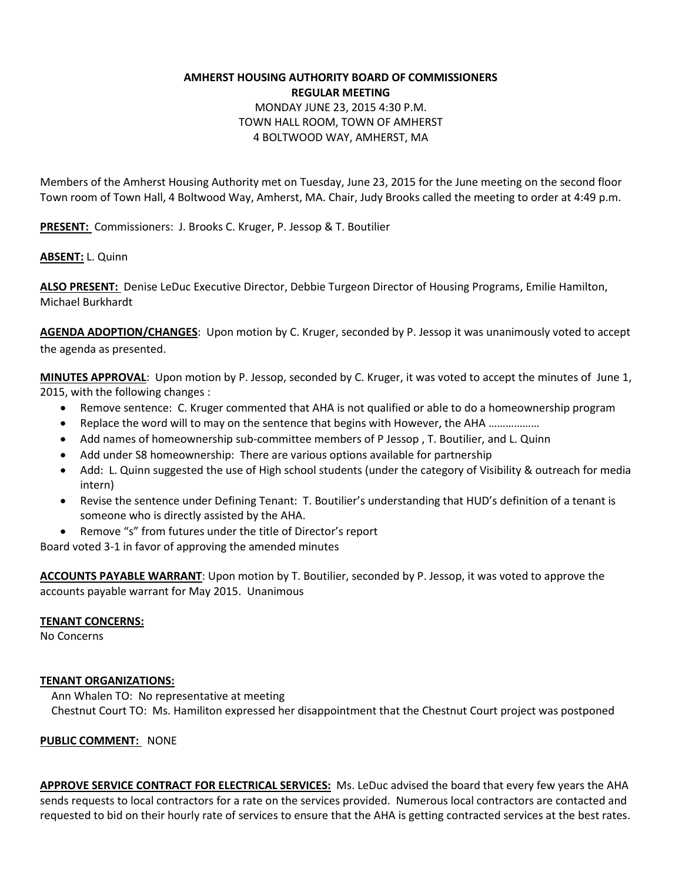# **AMHERST HOUSING AUTHORITY BOARD OF COMMISSIONERS REGULAR MEETING**  MONDAY JUNE 23, 2015 4:30 P.M. TOWN HALL ROOM, TOWN OF AMHERST 4 BOLTWOOD WAY, AMHERST, MA

Members of the Amherst Housing Authority met on Tuesday, June 23, 2015 for the June meeting on the second floor Town room of Town Hall, 4 Boltwood Way, Amherst, MA. Chair, Judy Brooks called the meeting to order at 4:49 p.m.

**PRESENT:** Commissioners: J. Brooks C. Kruger, P. Jessop & T. Boutilier

## **ABSENT:** L. Quinn

**ALSO PRESENT:** Denise LeDuc Executive Director, Debbie Turgeon Director of Housing Programs, Emilie Hamilton, Michael Burkhardt

**AGENDA ADOPTION/CHANGES**: Upon motion by C. Kruger, seconded by P. Jessop it was unanimously voted to accept the agenda as presented.

**MINUTES APPROVAL**: Upon motion by P. Jessop, seconded by C. Kruger, it was voted to accept the minutes of June 1, 2015, with the following changes :

- Remove sentence: C. Kruger commented that AHA is not qualified or able to do a homeownership program
- Replace the word will to may on the sentence that begins with However, the AHA ………………
- Add names of homeownership sub-committee members of P Jessop , T. Boutilier, and L. Quinn
- Add under S8 homeownership: There are various options available for partnership
- Add: L. Quinn suggested the use of High school students (under the category of Visibility & outreach for media intern)
- Revise the sentence under Defining Tenant: T. Boutilier's understanding that HUD's definition of a tenant is someone who is directly assisted by the AHA.
- Remove "s" from futures under the title of Director's report

Board voted 3-1 in favor of approving the amended minutes

**ACCOUNTS PAYABLE WARRANT**: Upon motion by T. Boutilier, seconded by P. Jessop, it was voted to approve the accounts payable warrant for May 2015. Unanimous

### **TENANT CONCERNS:**

No Concerns

### **TENANT ORGANIZATIONS:**

 Ann Whalen TO: No representative at meeting Chestnut Court TO: Ms. Hamiliton expressed her disappointment that the Chestnut Court project was postponed

### **PUBLIC COMMENT:** NONE

**APPROVE SERVICE CONTRACT FOR ELECTRICAL SERVICES:** Ms. LeDuc advised the board that every few years the AHA sends requests to local contractors for a rate on the services provided. Numerous local contractors are contacted and requested to bid on their hourly rate of services to ensure that the AHA is getting contracted services at the best rates.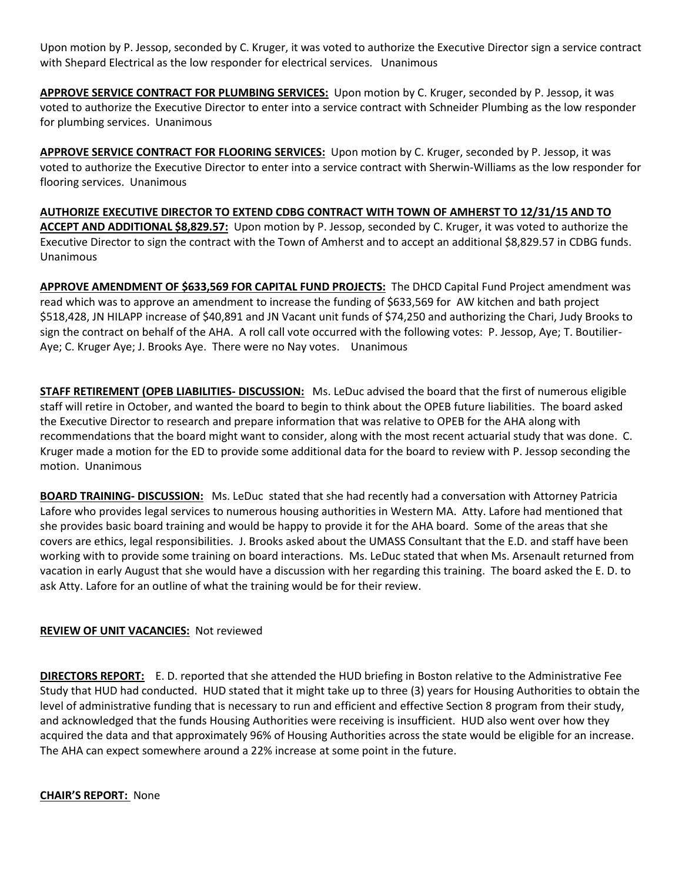Upon motion by P. Jessop, seconded by C. Kruger, it was voted to authorize the Executive Director sign a service contract with Shepard Electrical as the low responder for electrical services. Unanimous

**APPROVE SERVICE CONTRACT FOR PLUMBING SERVICES:** Upon motion by C. Kruger, seconded by P. Jessop, it was voted to authorize the Executive Director to enter into a service contract with Schneider Plumbing as the low responder for plumbing services. Unanimous

**APPROVE SERVICE CONTRACT FOR FLOORING SERVICES:** Upon motion by C. Kruger, seconded by P. Jessop, it was voted to authorize the Executive Director to enter into a service contract with Sherwin-Williams as the low responder for flooring services. Unanimous

**AUTHORIZE EXECUTIVE DIRECTOR TO EXTEND CDBG CONTRACT WITH TOWN OF AMHERST TO 12/31/15 AND TO ACCEPT AND ADDITIONAL \$8,829.57:** Upon motion by P. Jessop, seconded by C. Kruger, it was voted to authorize the Executive Director to sign the contract with the Town of Amherst and to accept an additional \$8,829.57 in CDBG funds. Unanimous

**APPROVE AMENDMENT OF \$633,569 FOR CAPITAL FUND PROJECTS:** The DHCD Capital Fund Project amendment was read which was to approve an amendment to increase the funding of \$633,569 for AW kitchen and bath project \$518,428, JN HILAPP increase of \$40,891 and JN Vacant unit funds of \$74,250 and authorizing the Chari, Judy Brooks to sign the contract on behalf of the AHA. A roll call vote occurred with the following votes: P. Jessop, Aye; T. Boutilier-Aye; C. Kruger Aye; J. Brooks Aye. There were no Nay votes. Unanimous

**STAFF RETIREMENT (OPEB LIABILITIES- DISCUSSION:** Ms. LeDuc advised the board that the first of numerous eligible staff will retire in October, and wanted the board to begin to think about the OPEB future liabilities. The board asked the Executive Director to research and prepare information that was relative to OPEB for the AHA along with recommendations that the board might want to consider, along with the most recent actuarial study that was done. C. Kruger made a motion for the ED to provide some additional data for the board to review with P. Jessop seconding the motion. Unanimous

**BOARD TRAINING- DISCUSSION:** Ms. LeDuc stated that she had recently had a conversation with Attorney Patricia Lafore who provides legal services to numerous housing authorities in Western MA. Atty. Lafore had mentioned that she provides basic board training and would be happy to provide it for the AHA board. Some of the areas that she covers are ethics, legal responsibilities. J. Brooks asked about the UMASS Consultant that the E.D. and staff have been working with to provide some training on board interactions. Ms. LeDuc stated that when Ms. Arsenault returned from vacation in early August that she would have a discussion with her regarding this training. The board asked the E. D. to ask Atty. Lafore for an outline of what the training would be for their review.

## **REVIEW OF UNIT VACANCIES:** Not reviewed

**DIRECTORS REPORT:** E. D. reported that she attended the HUD briefing in Boston relative to the Administrative Fee Study that HUD had conducted. HUD stated that it might take up to three (3) years for Housing Authorities to obtain the level of administrative funding that is necessary to run and efficient and effective Section 8 program from their study, and acknowledged that the funds Housing Authorities were receiving is insufficient. HUD also went over how they acquired the data and that approximately 96% of Housing Authorities across the state would be eligible for an increase. The AHA can expect somewhere around a 22% increase at some point in the future.

**CHAIR'S REPORT:** None